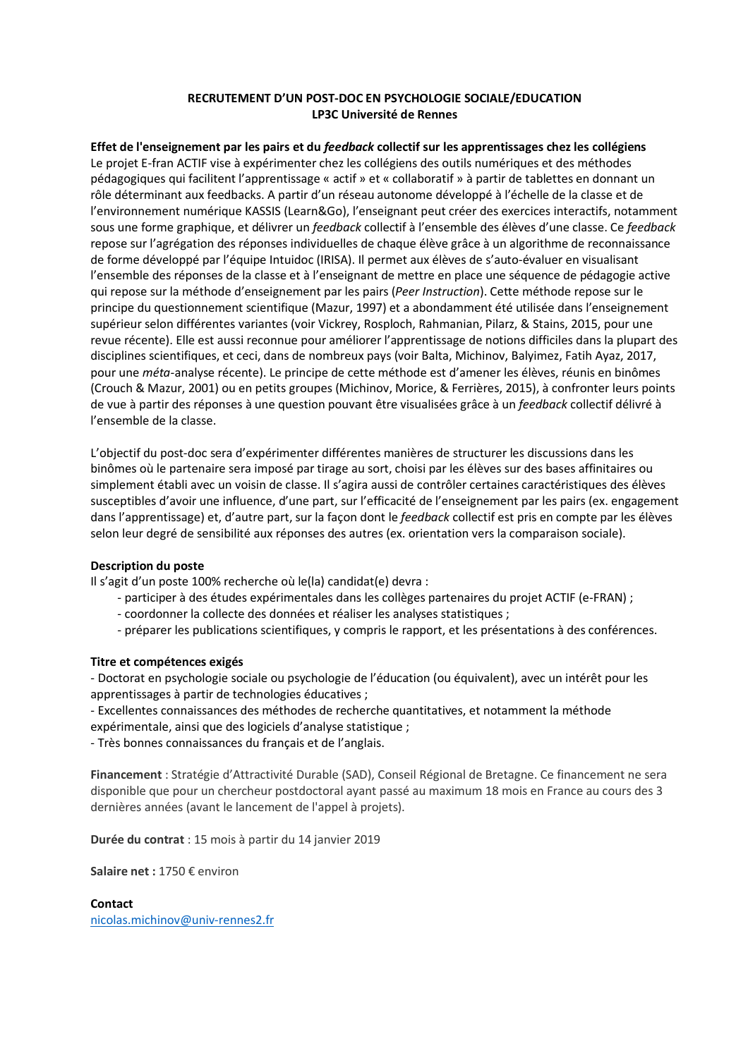## **RECRUTEMENT D'UN POST-DOC EN PSYCHOLOGIE SOCIALE/EDUCATION LP3C Université de Rennes**

# **Effet de l'enseignement par les pairs et du** *feedback* **collectif sur les apprentissages chez les collégiens**

Le projet E-fran ACTIF vise à expérimenter chez les collégiens des outils numériques et des méthodes pédagogiques qui facilitent l'apprentissage « actif » et « collaboratif » à partir de tablettes en donnant un rôle déterminant aux feedbacks. A partir d'un réseau autonome développé à l'échelle de la classe et de l'environnement numérique KASSIS (Learn&Go), l'enseignant peut créer des exercices interactifs, notamment sous une forme graphique, et délivrer un *feedback* collectif à l'ensemble des élèves d'une classe. Ce *feedback* repose sur l'agrégation des réponses individuelles de chaque élève grâce à un algorithme de reconnaissance de forme développé par l'équipe Intuidoc (IRISA). Il permet aux élèves de s'auto-évaluer en visualisant l'ensemble des réponses de la classe et à l'enseignant de mettre en place une séquence de pédagogie active qui repose sur la méthode d'enseignement par les pairs (*Peer Instruction*). Cette méthode repose sur le principe du questionnement scientifique (Mazur, 1997) et a abondamment été utilisée dans l'enseignement supérieur selon différentes variantes (voir Vickrey, Rosploch, Rahmanian, Pilarz, & Stains, 2015, pour une revue récente). Elle est aussi reconnue pour améliorer l'apprentissage de notions difficiles dans la plupart des disciplines scientifiques, et ceci, dans de nombreux pays (voir Balta, Michinov, Balyimez, Fatih Ayaz, 2017, pour une *méta*-analyse récente). Le principe de cette méthode est d'amener les élèves, réunis en binômes (Crouch & Mazur, 2001) ou en petits groupes (Michinov, Morice, & Ferrières, 2015), à confronter leurs points de vue à partir des réponses à une question pouvant être visualisées grâce à un *feedback* collectif délivré à l'ensemble de la classe.

L'objectif du post-doc sera d'expérimenter différentes manières de structurer les discussions dans les binômes où le partenaire sera imposé par tirage au sort, choisi par les élèves sur des bases affinitaires ou simplement établi avec un voisin de classe. Il s'agira aussi de contrôler certaines caractéristiques des élèves susceptibles d'avoir une influence, d'une part, sur l'efficacité de l'enseignement par les pairs (ex. engagement dans l'apprentissage) et, d'autre part, sur la façon dont le *feedback* collectif est pris en compte par les élèves selon leur degré de sensibilité aux réponses des autres (ex. orientation vers la comparaison sociale).

### **Description du poste**

Il s'agit d'un poste 100% recherche où le(la) candidat(e) devra :

- participer à des études expérimentales dans les collèges partenaires du projet ACTIF (e-FRAN) ;
- coordonner la collecte des données et réaliser les analyses statistiques ;
- préparer les publications scientifiques, y compris le rapport, et les présentations à des conférences.

### **Titre et compétences exigés**

- Doctorat en psychologie sociale ou psychologie de l'éducation (ou équivalent), avec un intérêt pour les apprentissages à partir de technologies éducatives ;

- Excellentes connaissances des méthodes de recherche quantitatives, et notamment la méthode
- expérimentale, ainsi que des logiciels d'analyse statistique ;

- Très bonnes connaissances du français et de l'anglais.

**Financement** : Stratégie d'Attractivité Durable (SAD), Conseil Régional de Bretagne. Ce financement ne sera disponible que pour un chercheur postdoctoral ayant passé au maximum 18 mois en France au cours des 3 dernières années (avant le lancement de l'appel à projets).

**Durée du contrat** : 15 mois à partir du 14 janvier 2019

**Salaire net :** 1750 € environ

**Contact** nicolas.michinov@univ-rennes2.fr